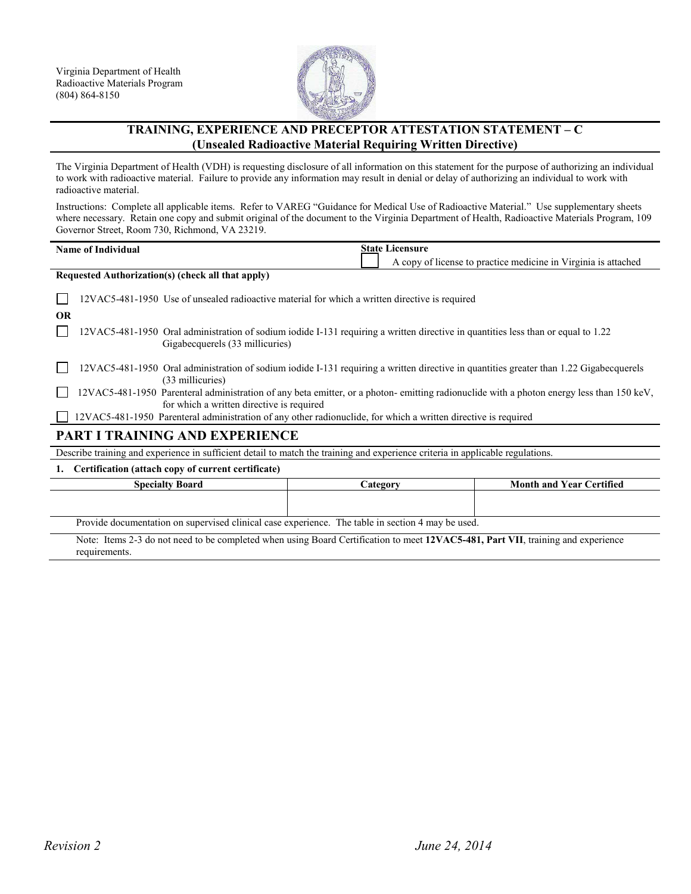

## **TRAINING, EXPERIENCE AND PRECEPTOR ATTESTATION STATEMENT – C (Unsealed Radioactive Material Requiring Written Directive)**

The Virginia Department of Health (VDH) is requesting disclosure of all information on this statement for the purpose of authorizing an individual to work with radioactive material. Failure to provide any information may result in denial or delay of authorizing an individual to work with radioactive material.

Instructions: Complete all applicable items. Refer to VAREG "Guidance for Medical Use of Radioactive Material." Use supplementary sheets where necessary. Retain one copy and submit original of the document to the Virginia Department of Health, Radioactive Materials Program, 109 Governor Street, Room 730, Richmond, VA 23219.

| <b>State Licensure</b><br><b>Name of Individual</b>                                                                                                                                                                                                                                                                                |          |                                                                |
|------------------------------------------------------------------------------------------------------------------------------------------------------------------------------------------------------------------------------------------------------------------------------------------------------------------------------------|----------|----------------------------------------------------------------|
|                                                                                                                                                                                                                                                                                                                                    |          | A copy of license to practice medicine in Virginia is attached |
| Requested Authorization(s) (check all that apply)                                                                                                                                                                                                                                                                                  |          |                                                                |
| 12VAC5-481-1950 Use of unsealed radioactive material for which a written directive is required                                                                                                                                                                                                                                     |          |                                                                |
| <b>OR</b>                                                                                                                                                                                                                                                                                                                          |          |                                                                |
| 12VAC5-481-1950 Oral administration of sodium iodide I-131 requiring a written directive in quantities less than or equal to 1.22<br>Gigabecquerels (33 millicuries)                                                                                                                                                               |          |                                                                |
| 12VAC5-481-1950 Oral administration of sodium iodide I-131 requiring a written directive in quantities greater than 1.22 Gigabecquerels<br>(33 millicuries)                                                                                                                                                                        |          |                                                                |
| 12VAC5-481-1950 Parenteral administration of any beta emitter, or a photon-emitting radionuclide with a photon energy less than 150 keV,<br>for which a written directive is required                                                                                                                                              |          |                                                                |
| 12VAC5-481-1950 Parenteral administration of any other radionuclide, for which a written directive is required                                                                                                                                                                                                                     |          |                                                                |
| <b>PART I TRAINING AND EXPERIENCE</b>                                                                                                                                                                                                                                                                                              |          |                                                                |
| Describe training and experience in sufficient detail to match the training and experience criteria in applicable regulations.                                                                                                                                                                                                     |          |                                                                |
| Certification (attach copy of current certificate)<br>1.                                                                                                                                                                                                                                                                           |          |                                                                |
| <b>Specialty Board</b>                                                                                                                                                                                                                                                                                                             | Category | <b>Month and Year Certified</b>                                |
|                                                                                                                                                                                                                                                                                                                                    |          |                                                                |
| Provide documentation on supervised clinical case experience. The table in section 4 may be used.                                                                                                                                                                                                                                  |          |                                                                |
| $\mathbf{M}$ $\mathbf{L}$ $\mathbf{L}$ $\mathbf{L}$ $\mathbf{L}$ $\mathbf{L}$ $\mathbf{L}$ $\mathbf{L}$ $\mathbf{L}$ $\mathbf{L}$ $\mathbf{L}$ $\mathbf{L}$ $\mathbf{L}$ $\mathbf{L}$ $\mathbf{L}$ $\mathbf{L}$ $\mathbf{L}$ $\mathbf{L}$ $\mathbf{L}$ $\mathbf{L}$ $\mathbf{L}$ $\mathbf{L}$ $\mathbf{L}$ $\mathbf{L}$ $\mathbf{$ |          | $\blacksquare$                                                 |

Note: Items 2-3 do not need to be completed when using Board Certification to meet **12VAC5-481, Part VII**, training and experience requirements.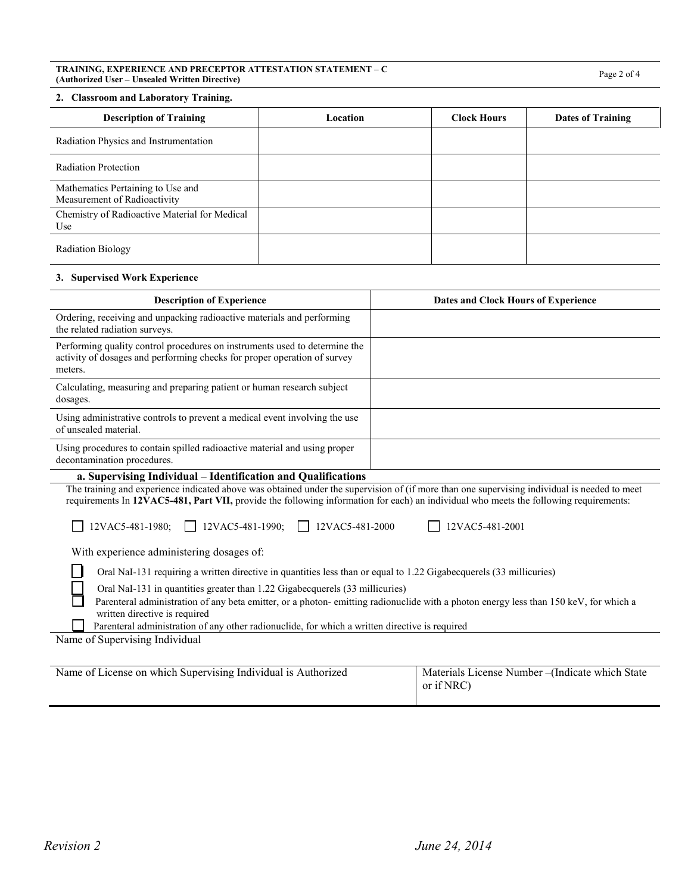# **TRAINING, EXPERIENCE AND PRECEPTOR ATTESTATION STATEMENT – C (Authorized User – Unsealed Written Directive)** Page 2 of 4

#### **2. Classroom and Laboratory Training.**

| <b>Description of Training</b>                                    | Location | <b>Clock Hours</b> | Dates of Training |
|-------------------------------------------------------------------|----------|--------------------|-------------------|
| Radiation Physics and Instrumentation                             |          |                    |                   |
| <b>Radiation Protection</b>                                       |          |                    |                   |
| Mathematics Pertaining to Use and<br>Measurement of Radioactivity |          |                    |                   |
| Chemistry of Radioactive Material for Medical<br>Use              |          |                    |                   |
| Radiation Biology                                                 |          |                    |                   |

#### **3. Supervised Work Experience**

| <b>Description of Experience</b>                                                                                                                                                                                                                                                      | Dates and Clock Hours of Experience |  |
|---------------------------------------------------------------------------------------------------------------------------------------------------------------------------------------------------------------------------------------------------------------------------------------|-------------------------------------|--|
| Ordering, receiving and unpacking radioactive materials and performing<br>the related radiation surveys.                                                                                                                                                                              |                                     |  |
| Performing quality control procedures on instruments used to determine the<br>activity of dosages and performing checks for proper operation of survey<br>meters.                                                                                                                     |                                     |  |
| Calculating, measuring and preparing patient or human research subject<br>dosages.                                                                                                                                                                                                    |                                     |  |
| Using administrative controls to prevent a medical event involving the use<br>of unsealed material.                                                                                                                                                                                   |                                     |  |
| Using procedures to contain spilled radioactive material and using proper<br>decontamination procedures.                                                                                                                                                                              |                                     |  |
| a. Supervising Individual – Identification and Qualifications                                                                                                                                                                                                                         |                                     |  |
| The training and experience indicated above was obtained under the supervision of (if more than one supervising individual is needed to meet<br>requirements In 12VAC5-481, Part VII, provide the following information for each) an individual who meets the following requirements: |                                     |  |
| 12VAC5-481-1980; 12VAC5-481-1990;<br>12VAC5-481-2000<br>12VAC5-481-2001                                                                                                                                                                                                               |                                     |  |
| With experience administering dosages of:                                                                                                                                                                                                                                             |                                     |  |
| Oral NaI-131 requiring a written directive in quantities less than or equal to 1.22 Gigabecquerels (33 millicuries)                                                                                                                                                                   |                                     |  |
| Oral NaI-131 in quantities greater than 1.22 Gigabecquerels (33 millicuries)                                                                                                                                                                                                          |                                     |  |

 Parenteral administration of any beta emitter, or a photon- emitting radionuclide with a photon energy less than 150 keV, for which a written directive is required

П Parenteral administration of any other radionuclide, for which a written directive is required

Name of Supervising Individual

| Name of License on which Supervising Individual is Authorized | Materials License Number – (Indicate which State<br>or if NRC) |
|---------------------------------------------------------------|----------------------------------------------------------------|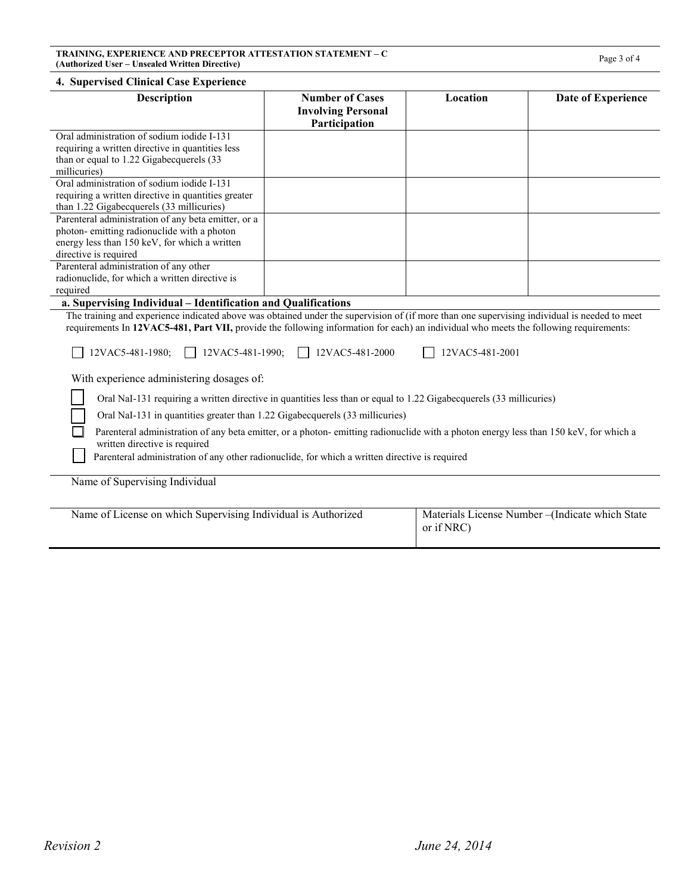| <b>Description</b>                                                                                                                                                                                                                                                                                                                                                                             | <b>Number of Cases</b><br><b>Involving Personal</b><br>Participation | Location        | Date of Experience                             |
|------------------------------------------------------------------------------------------------------------------------------------------------------------------------------------------------------------------------------------------------------------------------------------------------------------------------------------------------------------------------------------------------|----------------------------------------------------------------------|-----------------|------------------------------------------------|
| Oral administration of sodium iodide I-131<br>requiring a written directive in quantities less<br>than or equal to 1.22 Gigabecquerels (33<br>millicuries)                                                                                                                                                                                                                                     |                                                                      |                 |                                                |
| Oral administration of sodium iodide I-131<br>requiring a written directive in quantities greater<br>than 1.22 Gigabecquerels (33 millicuries)                                                                                                                                                                                                                                                 |                                                                      |                 |                                                |
| Parenteral administration of any beta emitter, or a<br>photon-emitting radionuclide with a photon<br>energy less than 150 keV, for which a written<br>directive is required                                                                                                                                                                                                                    |                                                                      |                 |                                                |
| Parenteral administration of any other<br>radionuclide, for which a written directive is<br>required                                                                                                                                                                                                                                                                                           |                                                                      |                 |                                                |
| a. Supervising Individual - Identification and Qualifications<br>The training and experience indicated above was obtained under the supervision of (if more than one supervising individual is needed to meet<br>requirements In 12VAC5-481, Part VII, provide the following information for each) an individual who meets the following requirements:<br>12VAC5-481-1990;<br>12VAC5-481-1980; | 12VAC5-481-2000                                                      | 12VAC5-481-2001 |                                                |
| With experience administering dosages of:                                                                                                                                                                                                                                                                                                                                                      |                                                                      |                 |                                                |
| Oral NaI-131 requiring a written directive in quantities less than or equal to 1.22 Gigabecquerels (33 millicuries)<br>Oral NaI-131 in quantities greater than 1.22 Gigabecquerels (33 millicuries)                                                                                                                                                                                            |                                                                      |                 |                                                |
| Parenteral administration of any beta emitter, or a photon-emitting radionuclide with a photon energy less than 150 keV, for which a<br>written directive is required<br>Parenteral administration of any other radionuclide, for which a written directive is required                                                                                                                        |                                                                      |                 |                                                |
| Name of Supervising Individual                                                                                                                                                                                                                                                                                                                                                                 |                                                                      |                 |                                                |
| Name of License on which Supervising Individual is Authorized                                                                                                                                                                                                                                                                                                                                  |                                                                      | or if NRC)      | Materials License Number-(Indicate which State |